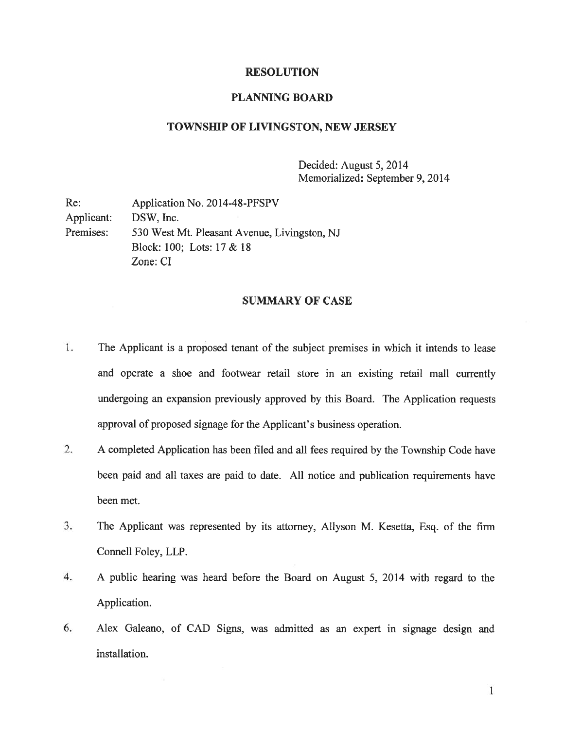#### RESOLUTION

## PLANNING BOARD

## TOWNSHIP OF LIVINGSTON, NEW JERSEY

Decided: August 5, 2014 Memorialized: September 9, 2014

| Re:        | Application No. 2014-48-PFSPV                |
|------------|----------------------------------------------|
| Applicant: | DSW, Inc.                                    |
| Premises:  | 530 West Mt. Pleasant Avenue, Livingston, NJ |
|            | Block: 100; Lots: $17 & 18$                  |
|            | Zone: CI                                     |

# SUMMARY OF CASE

- 1. The Applicant is <sup>a</sup> proposed tenant of the subject premises in which it intends to lease and operate <sup>a</sup> shoe and footwear retail store in an existing retail mall currently undergoing an expansion previously approved by this Board. The Application requests approval of proposed signage for the Applicant's business operation.
- 2. <sup>A</sup> completed Application has been filed and all fees required by the Township Code have been paid and all taxes are paid to date. All notice and publication requirements have been met.
- 3. The Applicant was represented by its attorney, Allyson M. Kesetta, Esq. of the firm Connell Foley, LLP.
- 4. A public hearing was heard before the Board on August 5, 2014 with regard to the Application.
- 6. Alex Galeano, of CAD Signs, was admitted as an exper<sup>t</sup> in signage design and installation.

 $\mathbf{1}$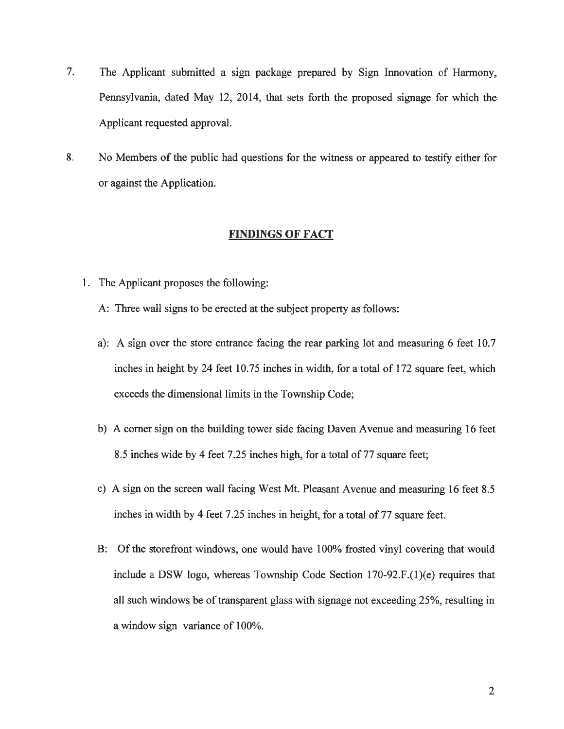- 7. The Applicant submitted <sup>a</sup> sign package prepared by Sign Innovation of Harmony, Pennsylvania, dated May 12, 2014, that sets forth the proposed signage for which the Applicant requested approval.
- 8. No Members of the public had questions for the witness or appeared to testify either for or against the Application.

# FINDINGS OF FACT

- 1. The Applicant proposes the following:
	- A: Three wall signs to be erected at the subject property as follows:
	- a): A sign over the store entrance facing the rear parking lot and measuring 6 feet 10.7 inches in height by 24 feet 10.75 inches in width, for <sup>a</sup> total of 172 square feet, which exceeds the dimensional limits in the Township Code;
	- b) A corner sign on the building tower side facing Daven Avenue and measuring 16 feet 8.5 inches wide by 4 feet 7.25 inches high, for <sup>a</sup> total of 77 square feet;
	- c) A sign on the screen wall facing West Mt. Pleasant Avenue and measuring 16 feet 8.5 inches in width by 4 feet 7.25 inches in height, for <sup>a</sup> total of 77 square feet.
	- B: Of the storefront windows, one would have 100% frosted vinyl covering that would include <sup>a</sup> DSW logo, whereas Township Code Section 170-92.F.(1)(e) requires that all such windows be of transparent glass with signage not exceeding 25%, resulting in <sup>a</sup> window sign variance of 100%.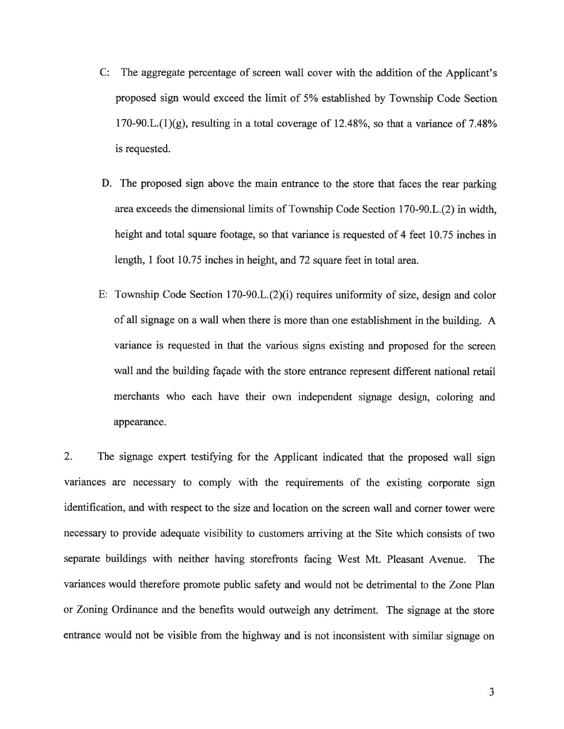- C: The aggregate percentage of screen wall cover with the addition of the Applicant's proposed sign would exceed the limit of 5% established by Township Code Section 170-90.L. $(1)(g)$ , resulting in a total coverage of 12.48%, so that a variance of 7.48% is requested.
- D. The proposed sign above the main entrance to the store that faces the rear parking area exceeds the dimensional limits of Township Code Section 170-90.L.(2) in width, height and total square footage, so that variance is requested of 4 feet 10.75 inches in length, 1 foot 10.75 inches in height, and 72 square feet in total area.
- E: Township Code Section 170-90.L. $(2)(i)$  requires uniformity of size, design and color of all signage on <sup>a</sup> wall when there is more than one establishment in the building. A variance is requested in that the various signs existing and proposed for the screen wall and the building façade with the store entrance represen<sup>t</sup> different national retail merchants who each have their own independent signage design, coloring and appearance.

2. The signage exper<sup>t</sup> testifying for the Applicant indicated that the propose<sup>d</sup> wall sign variances are necessary to comply with the requirements of the existing corporate sign identification, and with respec<sup>t</sup> to the size and location on the screen wall and corner tower were necessary to provide adequate visibility to customers arriving at the Site which consists of two separate buildings with neither having storefronts facing West Mt. Pleasant Avenue. The variances would therefore promote public safety and would not be detrimental to the Zone Plan or Zoning Ordinance and the benefits would outweigh any detriment. The signage at the store entrance would not be visible from the highway and is not inconsistent with similar signage on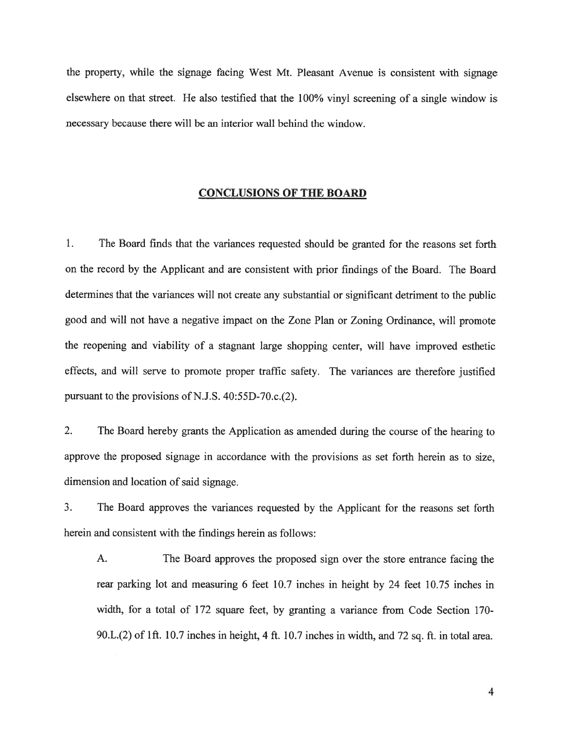the property, while the signage facing West Mt. Pleasant Avenue is consistent with signage elsewhere on that street. He also testified that the 100% vinyl screening of <sup>a</sup> single window is necessary because there will be an interior wall behind the window.

#### CONCLUSIONS OF THE BOARD

1. The Board finds that the variances requested should be granted for the reasons set forth on the record by the Applicant and are consistent with prior findings of the Board. The Board determines that the variances will not create any substantial or significant detriment to the public good and will not have <sup>a</sup> negative impact on the Zone Plan or Zoning Ordinance, will promote the reopening and viability of <sup>a</sup> stagnant large shopping center, will have improved esthetic effects, and will serve to promote proper traffic safety. The variances are therefore justified pursuant to the provisions of N.J.S.  $40:55D-70.c.(2)$ .

2. The Board hereby grants the Application as amended during the course of the hearing to approve the proposed signage in accordance with the provisions as set forth herein as to size, dimension and location of said signage.

3. The Board approves the variances requested by the Applicant for the reasons set forth herein and consistent with the findings herein as follows:

A. The Board approves the proposed sign over the store entrance facing the rear parking lot and measuring <sup>6</sup> feet 10.7 inches in height by <sup>24</sup> feet 10.75 inches in width, for <sup>a</sup> total of 172 square feet, by granting <sup>a</sup> variance from Code Section 170- 90.L.(2) of ift. 10.7 inches in height, <sup>4</sup> ft. 10.7 inches in width, and <sup>72</sup> sq. ft. in total area.

4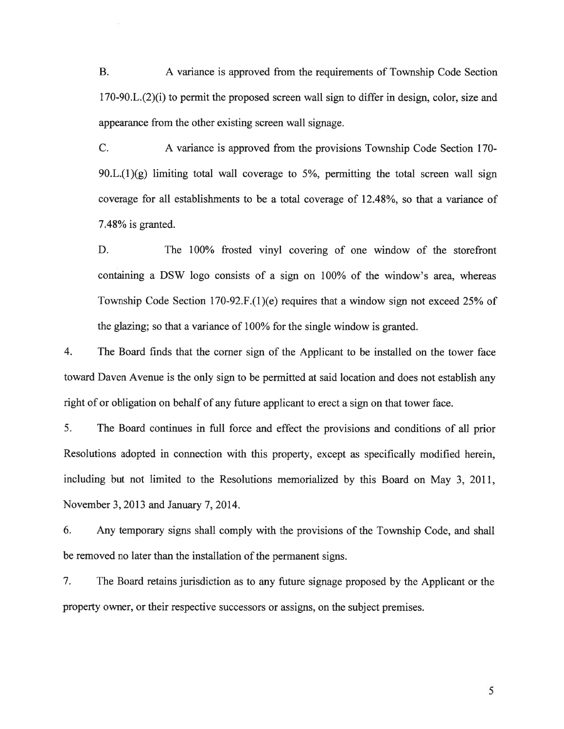B. A variance is approved from the requirements of Township Code Section  $170-90.L.(2)$ (i) to permit the proposed screen wall sign to differ in design, color, size and appearance from the other existing screen wall signage.

C. A variance is approved from the provisions Township Code Section 170-  $90.L.(1)(g)$  limiting total wall coverage to 5%, permitting the total screen wall sign coverage for all establishments to be <sup>a</sup> total coverage of 12.48%, so that <sup>a</sup> variance of 7.48% is granted.

D. The 100% frosted vinyl covering of one window of the storefront containing <sup>a</sup> DSW logo consists of <sup>a</sup> sign on 100% of the window's area, whereas Township Code Section 170-92.F.(l)(e) requires that <sup>a</sup> window sign not exceed 25% of the <sup>g</sup>lazing; so that <sup>a</sup> variance of 100% for the single window is granted.

4. The Board finds that the corner sign of the Applicant to be installed on the tower face toward Daven Avenue is the only sign to be permitted at said location and does not establish any right of or obligation on behalf of any future applicant to erect <sup>a</sup> sign on that tower face.

5. The Board continues in full force and effect the provisions and conditions of all prior Resolutions adopted in connection with this property, excep<sup>t</sup> as specifically modified herein, including but not limited to the Resolutions memorialized by this Board on May 3, 2011, November 3, 2013 and January 7, 2014.

6. Any temporary signs shall comply with the provisions of the Township Code, and shall be removed no later than the installation of the permanen<sup>t</sup> signs.

7. The Board retains jurisdiction as to any future signage proposed by the Applicant or the property owner, or their respective successors or assigns, on the subject premises.

5